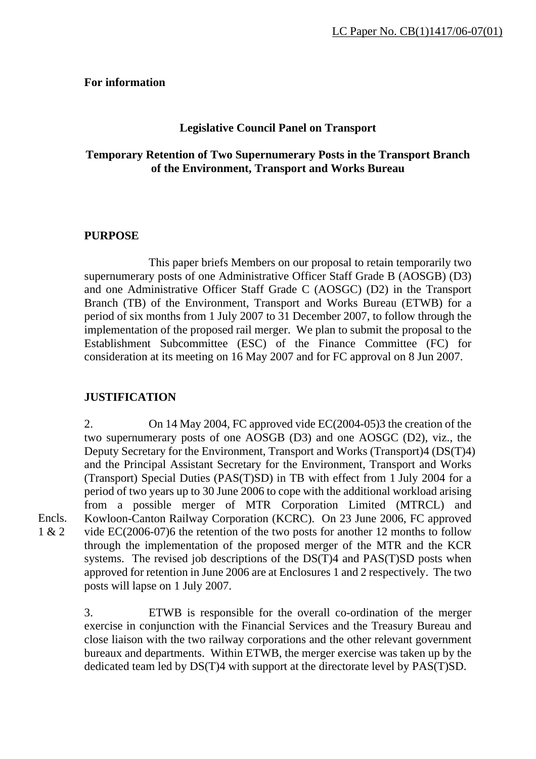### **For information**

### **Legislative Council Panel on Transport**

### **Temporary Retention of Two Supernumerary Posts in the Transport Branch of the Environment, Transport and Works Bureau**

### **PURPOSE**

 This paper briefs Members on our proposal to retain temporarily two supernumerary posts of one Administrative Officer Staff Grade B (AOSGB) (D3) and one Administrative Officer Staff Grade C (AOSGC) (D2) in the Transport Branch (TB) of the Environment, Transport and Works Bureau (ETWB) for a period of six months from 1 July 2007 to 31 December 2007, to follow through the implementation of the proposed rail merger. We plan to submit the proposal to the Establishment Subcommittee (ESC) of the Finance Committee (FC) for consideration at its meeting on 16 May 2007 and for FC approval on 8 Jun 2007.

### **JUSTIFICATION**

Encls. 1 & 2

2. On 14 May 2004, FC approved vide EC(2004-05)3 the creation of the two supernumerary posts of one AOSGB (D3) and one AOSGC (D2), viz., the Deputy Secretary for the Environment, Transport and Works (Transport)4 (DS(T)4) and the Principal Assistant Secretary for the Environment, Transport and Works (Transport) Special Duties (PAS(T)SD) in TB with effect from 1 July 2004 for a period of two years up to 30 June 2006 to cope with the additional workload arising from a possible merger of MTR Corporation Limited (MTRCL) and Kowloon-Canton Railway Corporation (KCRC). On 23 June 2006, FC approved vide EC(2006-07)6 the retention of the two posts for another 12 months to follow through the implementation of the proposed merger of the MTR and the KCR systems. The revised job descriptions of the DS(T)4 and PAS(T)SD posts when approved for retention in June 2006 are at Enclosures 1 and 2 respectively. The two posts will lapse on 1 July 2007.

3. ETWB is responsible for the overall co-ordination of the merger exercise in conjunction with the Financial Services and the Treasury Bureau and close liaison with the two railway corporations and the other relevant government bureaux and departments. Within ETWB, the merger exercise was taken up by the dedicated team led by DS(T)4 with support at the directorate level by PAS(T)SD.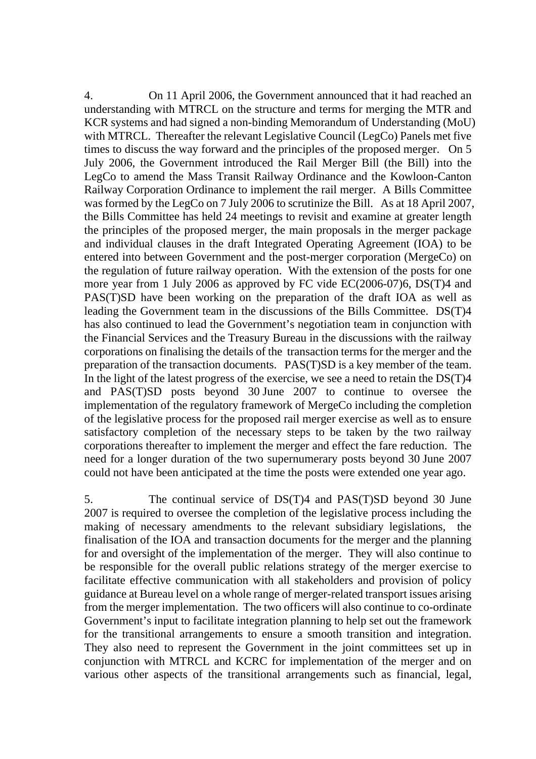4. On 11 April 2006, the Government announced that it had reached an understanding with MTRCL on the structure and terms for merging the MTR and KCR systems and had signed a non-binding Memorandum of Understanding (MoU) with MTRCL. Thereafter the relevant Legislative Council (LegCo) Panels met five times to discuss the way forward and the principles of the proposed merger. On 5 July 2006, the Government introduced the Rail Merger Bill (the Bill) into the LegCo to amend the Mass Transit Railway Ordinance and the Kowloon-Canton Railway Corporation Ordinance to implement the rail merger. A Bills Committee was formed by the LegCo on 7 July 2006 to scrutinize the Bill. As at 18 April 2007, the Bills Committee has held 24 meetings to revisit and examine at greater length the principles of the proposed merger, the main proposals in the merger package and individual clauses in the draft Integrated Operating Agreement (IOA) to be entered into between Government and the post-merger corporation (MergeCo) on the regulation of future railway operation. With the extension of the posts for one more year from 1 July 2006 as approved by FC vide EC(2006-07)6, DS(T)4 and PAS(T)SD have been working on the preparation of the draft IOA as well as leading the Government team in the discussions of the Bills Committee. DS(T)4 has also continued to lead the Government's negotiation team in conjunction with the Financial Services and the Treasury Bureau in the discussions with the railway corporations on finalising the details of the transaction terms for the merger and the preparation of the transaction documents. PAS(T)SD is a key member of the team. In the light of the latest progress of the exercise, we see a need to retain the DS(T)4 and PAS(T)SD posts beyond 30 June 2007 to continue to oversee the implementation of the regulatory framework of MergeCo including the completion of the legislative process for the proposed rail merger exercise as well as to ensure satisfactory completion of the necessary steps to be taken by the two railway corporations thereafter to implement the merger and effect the fare reduction. The need for a longer duration of the two supernumerary posts beyond 30 June 2007 could not have been anticipated at the time the posts were extended one year ago.

5. The continual service of DS(T)4 and PAS(T)SD beyond 30 June 2007 is required to oversee the completion of the legislative process including the making of necessary amendments to the relevant subsidiary legislations, the finalisation of the IOA and transaction documents for the merger and the planning for and oversight of the implementation of the merger. They will also continue to be responsible for the overall public relations strategy of the merger exercise to facilitate effective communication with all stakeholders and provision of policy guidance at Bureau level on a whole range of merger-related transport issues arising from the merger implementation. The two officers will also continue to co-ordinate Government's input to facilitate integration planning to help set out the framework for the transitional arrangements to ensure a smooth transition and integration. They also need to represent the Government in the joint committees set up in conjunction with MTRCL and KCRC for implementation of the merger and on various other aspects of the transitional arrangements such as financial, legal,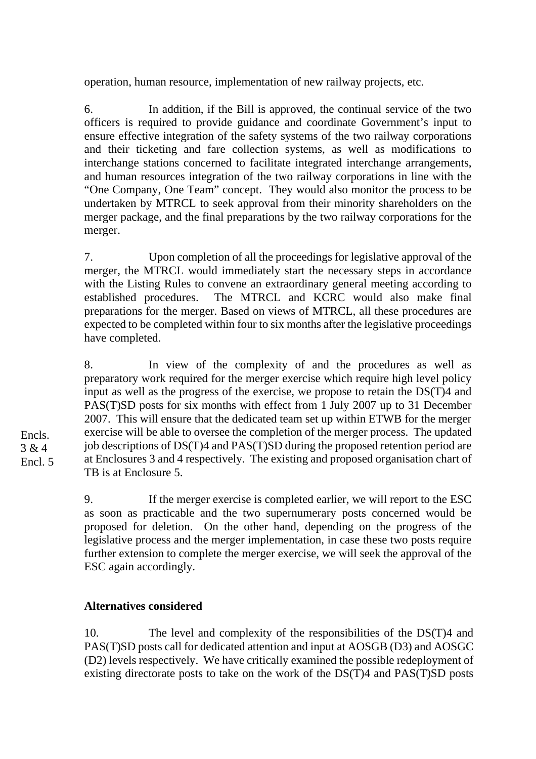operation, human resource, implementation of new railway projects, etc.

6. In addition, if the Bill is approved, the continual service of the two officers is required to provide guidance and coordinate Government's input to ensure effective integration of the safety systems of the two railway corporations and their ticketing and fare collection systems, as well as modifications to interchange stations concerned to facilitate integrated interchange arrangements, and human resources integration of the two railway corporations in line with the "One Company, One Team" concept. They would also monitor the process to be undertaken by MTRCL to seek approval from their minority shareholders on the merger package, and the final preparations by the two railway corporations for the merger.

7. Upon completion of all the proceedings for legislative approval of the merger, the MTRCL would immediately start the necessary steps in accordance with the Listing Rules to convene an extraordinary general meeting according to established procedures. The MTRCL and KCRC would also make final preparations for the merger. Based on views of MTRCL, all these procedures are expected to be completed within four to six months after the legislative proceedings have completed.

8. In view of the complexity of and the procedures as well as preparatory work required for the merger exercise which require high level policy input as well as the progress of the exercise, we propose to retain the DS(T)4 and PAS(T)SD posts for six months with effect from 1 July 2007 up to 31 December 2007. This will ensure that the dedicated team set up within ETWB for the merger exercise will be able to oversee the completion of the merger process. The updated job descriptions of DS(T)4 and PAS(T)SD during the proposed retention period are at Enclosures 3 and 4 respectively. The existing and proposed organisation chart of TB is at Enclosure 5.

9. If the merger exercise is completed earlier, we will report to the ESC as soon as practicable and the two supernumerary posts concerned would be proposed for deletion. On the other hand, depending on the progress of the legislative process and the merger implementation, in case these two posts require further extension to complete the merger exercise, we will seek the approval of the ESC again accordingly.

# **Alternatives considered**

10. The level and complexity of the responsibilities of the DS(T)4 and PAS(T)SD posts call for dedicated attention and input at AOSGB (D3) and AOSGC (D2) levels respectively. We have critically examined the possible redeployment of existing directorate posts to take on the work of the DS(T)4 and PAS(T)SD posts

Encls. 3 & 4 Encl. 5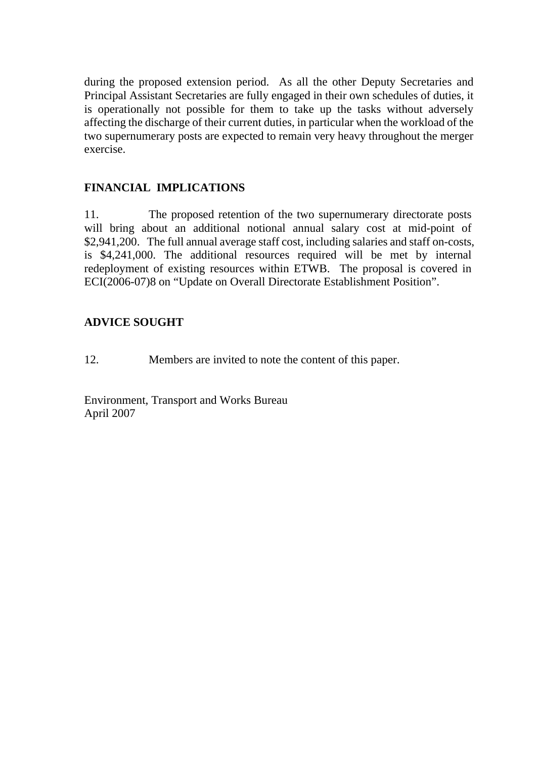during the proposed extension period. As all the other Deputy Secretaries and Principal Assistant Secretaries are fully engaged in their own schedules of duties, it is operationally not possible for them to take up the tasks without adversely affecting the discharge of their current duties, in particular when the workload of the two supernumerary posts are expected to remain very heavy throughout the merger exercise.

# **FINANCIAL IMPLICATIONS**

11. The proposed retention of the two supernumerary directorate posts will bring about an additional notional annual salary cost at mid-point of \$2,941,200. The full annual average staff cost, including salaries and staff on-costs, is \$4,241,000. The additional resources required will be met by internal redeployment of existing resources within ETWB. The proposal is covered in ECI(2006-07)8 on "Update on Overall Directorate Establishment Position".

# **ADVICE SOUGHT**

12. Members are invited to note the content of this paper.

Environment, Transport and Works Bureau April 2007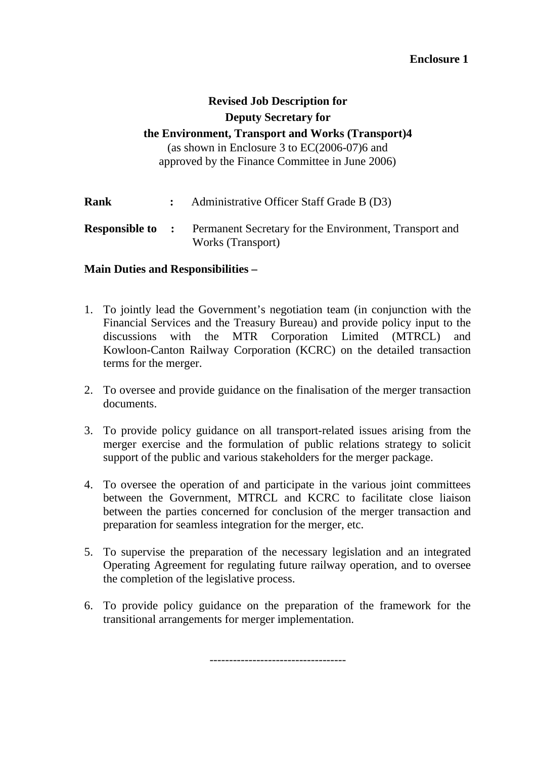# **Revised Job Description for Deputy Secretary for**

# **the Environment, Transport and Works (Transport)4**

(as shown in Enclosure 3 to EC(2006-07)6 and approved by the Finance Committee in June 2006)

**Rank** : Administrative Officer Staff Grade B (D3) **Responsible to :** Permanent Secretary for the Environment, Transport and Works (Transport)

### **Main Duties and Responsibilities –**

- 1. To jointly lead the Government's negotiation team (in conjunction with the Financial Services and the Treasury Bureau) and provide policy input to the discussions with the MTR Corporation Limited (MTRCL) and Kowloon-Canton Railway Corporation (KCRC) on the detailed transaction terms for the merger.
- 2. To oversee and provide guidance on the finalisation of the merger transaction documents.
- 3. To provide policy guidance on all transport-related issues arising from the merger exercise and the formulation of public relations strategy to solicit support of the public and various stakeholders for the merger package.
- 4. To oversee the operation of and participate in the various joint committees between the Government, MTRCL and KCRC to facilitate close liaison between the parties concerned for conclusion of the merger transaction and preparation for seamless integration for the merger, etc.
- 5. To supervise the preparation of the necessary legislation and an integrated Operating Agreement for regulating future railway operation, and to oversee the completion of the legislative process.
- 6. To provide policy guidance on the preparation of the framework for the transitional arrangements for merger implementation.

-----------------------------------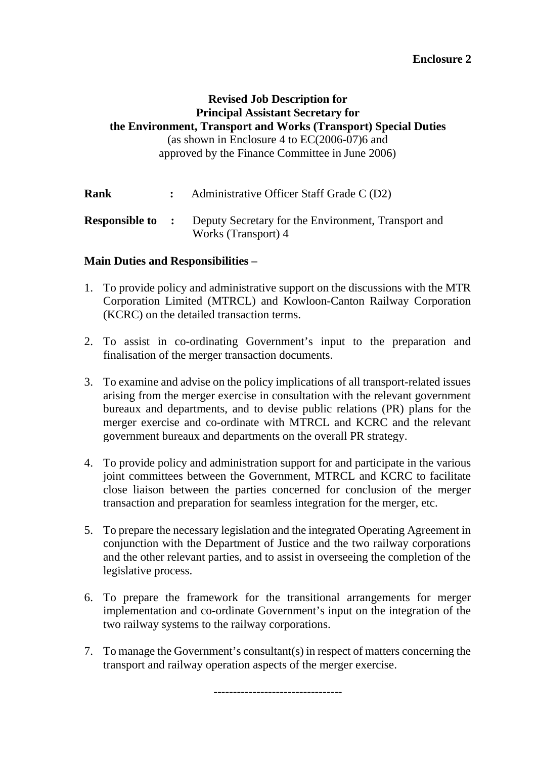# **Revised Job Description for Principal Assistant Secretary for the Environment, Transport and Works (Transport) Special Duties** (as shown in Enclosure 4 to EC(2006-07)6 and approved by the Finance Committee in June 2006)

| <b>Rank</b> | Administrative Officer Staff Grade C (D2)                                                          |
|-------------|----------------------------------------------------------------------------------------------------|
|             | <b>Responsible to :</b> Deputy Secretary for the Environment, Transport and<br>Works (Transport) 4 |

# **Main Duties and Responsibilities –**

- 1. To provide policy and administrative support on the discussions with the MTR Corporation Limited (MTRCL) and Kowloon-Canton Railway Corporation (KCRC) on the detailed transaction terms.
- 2. To assist in co-ordinating Government's input to the preparation and finalisation of the merger transaction documents.
- 3. To examine and advise on the policy implications of all transport-related issues arising from the merger exercise in consultation with the relevant government bureaux and departments, and to devise public relations (PR) plans for the merger exercise and co-ordinate with MTRCL and KCRC and the relevant government bureaux and departments on the overall PR strategy.
- 4. To provide policy and administration support for and participate in the various joint committees between the Government, MTRCL and KCRC to facilitate close liaison between the parties concerned for conclusion of the merger transaction and preparation for seamless integration for the merger, etc.
- 5. To prepare the necessary legislation and the integrated Operating Agreement in conjunction with the Department of Justice and the two railway corporations and the other relevant parties, and to assist in overseeing the completion of the legislative process.
- 6. To prepare the framework for the transitional arrangements for merger implementation and co-ordinate Government's input on the integration of the two railway systems to the railway corporations.
- 7. To manage the Government's consultant(s) in respect of matters concerning the transport and railway operation aspects of the merger exercise.

---------------------------------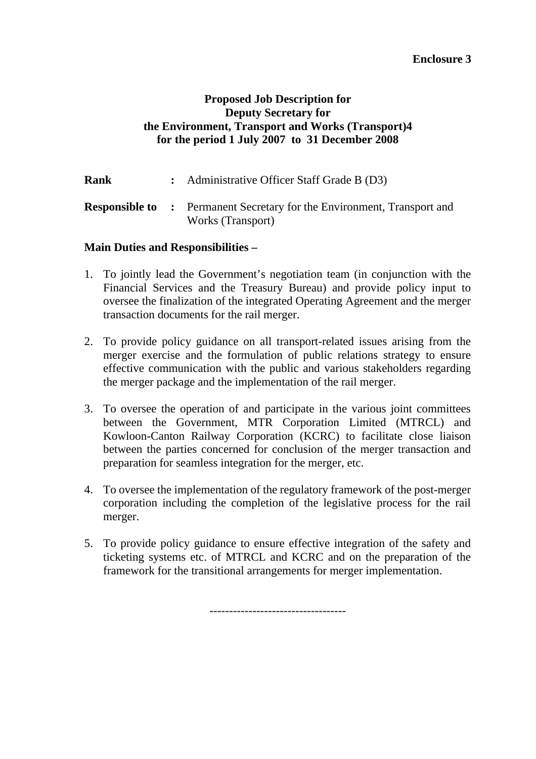# **Enclosure 3**

# **Proposed Job Description for Deputy Secretary for the Environment, Transport and Works (Transport)4 for the period 1 July 2007 to 31 December 2008**

| Rank | : Administrative Officer Staff Grade B (D3)                                                         |
|------|-----------------------------------------------------------------------------------------------------|
|      | <b>Responsible to :</b> Permanent Secretary for the Environment, Transport and<br>Works (Transport) |

### **Main Duties and Responsibilities –**

- 1. To jointly lead the Government's negotiation team (in conjunction with the Financial Services and the Treasury Bureau) and provide policy input to oversee the finalization of the integrated Operating Agreement and the merger transaction documents for the rail merger.
- 2. To provide policy guidance on all transport-related issues arising from the merger exercise and the formulation of public relations strategy to ensure effective communication with the public and various stakeholders regarding the merger package and the implementation of the rail merger.
- 3. To oversee the operation of and participate in the various joint committees between the Government, MTR Corporation Limited (MTRCL) and Kowloon-Canton Railway Corporation (KCRC) to facilitate close liaison between the parties concerned for conclusion of the merger transaction and preparation for seamless integration for the merger, etc.
- 4. To oversee the implementation of the regulatory framework of the post-merger corporation including the completion of the legislative process for the rail merger.
- 5. To provide policy guidance to ensure effective integration of the safety and ticketing systems etc. of MTRCL and KCRC and on the preparation of the framework for the transitional arrangements for merger implementation.

-----------------------------------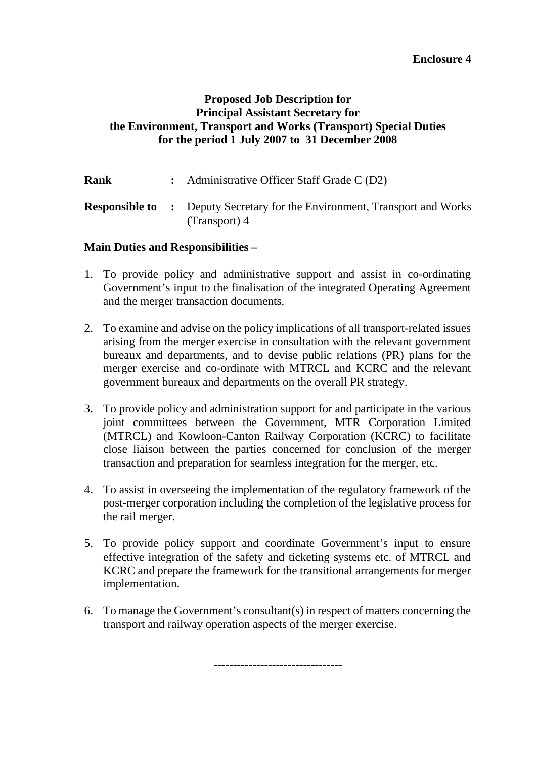### **Enclosure 4**

# **Proposed Job Description for Principal Assistant Secretary for the Environment, Transport and Works (Transport) Special Duties for the period 1 July 2007 to 31 December 2008**

| Rank | : Administrative Officer Staff Grade C $(D2)$                                                      |
|------|----------------------------------------------------------------------------------------------------|
|      | <b>Responsible to</b> : Deputy Secretary for the Environment, Transport and Works<br>(Transport) 4 |

# **Main Duties and Responsibilities –**

- 1. To provide policy and administrative support and assist in co-ordinating Government's input to the finalisation of the integrated Operating Agreement and the merger transaction documents.
- 2. To examine and advise on the policy implications of all transport-related issues arising from the merger exercise in consultation with the relevant government bureaux and departments, and to devise public relations (PR) plans for the merger exercise and co-ordinate with MTRCL and KCRC and the relevant government bureaux and departments on the overall PR strategy.
- 3. To provide policy and administration support for and participate in the various joint committees between the Government, MTR Corporation Limited (MTRCL) and Kowloon-Canton Railway Corporation (KCRC) to facilitate close liaison between the parties concerned for conclusion of the merger transaction and preparation for seamless integration for the merger, etc.
- 4. To assist in overseeing the implementation of the regulatory framework of the post-merger corporation including the completion of the legislative process for the rail merger.
- 5. To provide policy support and coordinate Government's input to ensure effective integration of the safety and ticketing systems etc. of MTRCL and KCRC and prepare the framework for the transitional arrangements for merger implementation.
- 6. To manage the Government's consultant(s) in respect of matters concerning the transport and railway operation aspects of the merger exercise.

---------------------------------